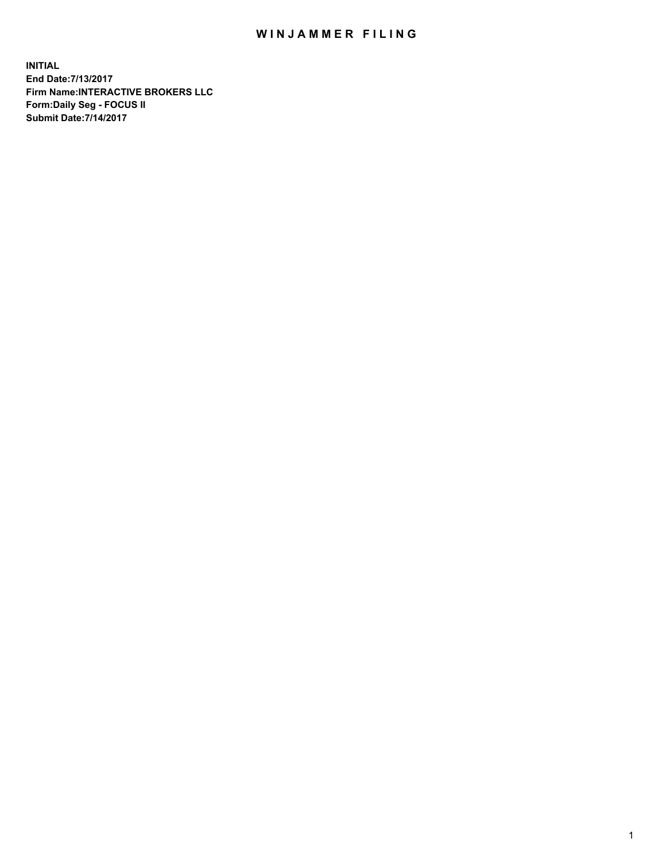## WIN JAMMER FILING

**INITIAL End Date:7/13/2017 Firm Name:INTERACTIVE BROKERS LLC Form:Daily Seg - FOCUS II Submit Date:7/14/2017**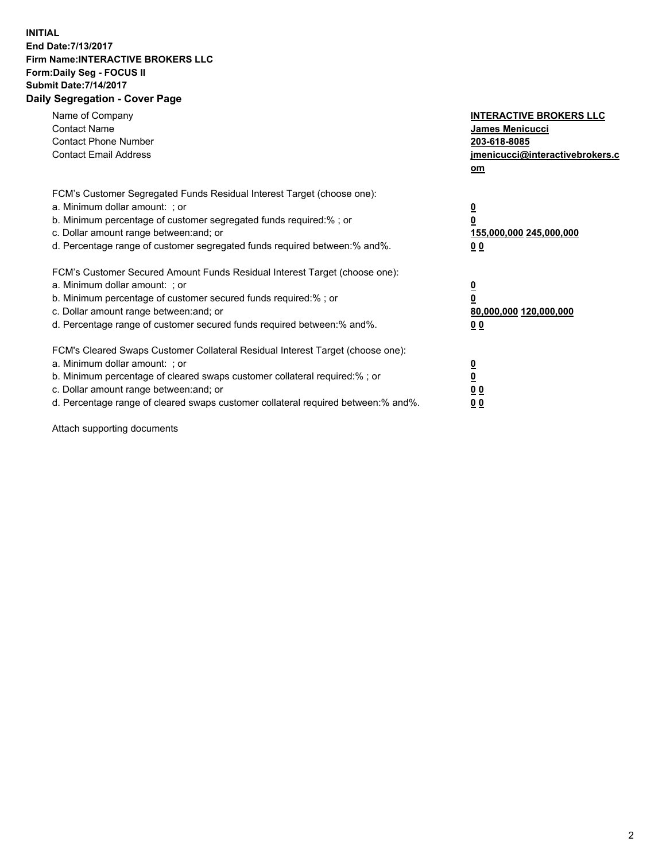## **INITIAL End Date:7/13/2017 Firm Name:INTERACTIVE BROKERS LLC Form:Daily Seg - FOCUS II Submit Date:7/14/2017 Daily Segregation - Cover Page**

| Name of Company<br><b>Contact Name</b><br><b>Contact Phone Number</b><br><b>Contact Email Address</b>                                                                                                                                                                                                                          | <b>INTERACTIVE BROKERS LLC</b><br>James Menicucci<br>203-618-8085<br>jmenicucci@interactivebrokers.c<br>om |
|--------------------------------------------------------------------------------------------------------------------------------------------------------------------------------------------------------------------------------------------------------------------------------------------------------------------------------|------------------------------------------------------------------------------------------------------------|
| FCM's Customer Segregated Funds Residual Interest Target (choose one):<br>a. Minimum dollar amount: ; or<br>b. Minimum percentage of customer segregated funds required:%; or<br>c. Dollar amount range between: and; or<br>d. Percentage range of customer segregated funds required between:% and%.                          | $\overline{\mathbf{0}}$<br>0<br>155,000,000 245,000,000<br>0 <sub>0</sub>                                  |
| FCM's Customer Secured Amount Funds Residual Interest Target (choose one):<br>a. Minimum dollar amount: ; or<br>b. Minimum percentage of customer secured funds required:%; or<br>c. Dollar amount range between: and; or<br>d. Percentage range of customer secured funds required between:% and%.                            | $\overline{\mathbf{0}}$<br>$\overline{\mathbf{0}}$<br>80,000,000 120,000,000<br>00                         |
| FCM's Cleared Swaps Customer Collateral Residual Interest Target (choose one):<br>a. Minimum dollar amount: ; or<br>b. Minimum percentage of cleared swaps customer collateral required:% ; or<br>c. Dollar amount range between: and; or<br>d. Percentage range of cleared swaps customer collateral required between:% and%. | $\overline{\mathbf{0}}$<br>$\overline{\mathbf{0}}$<br>0 <sub>0</sub><br><u>00</u>                          |

Attach supporting documents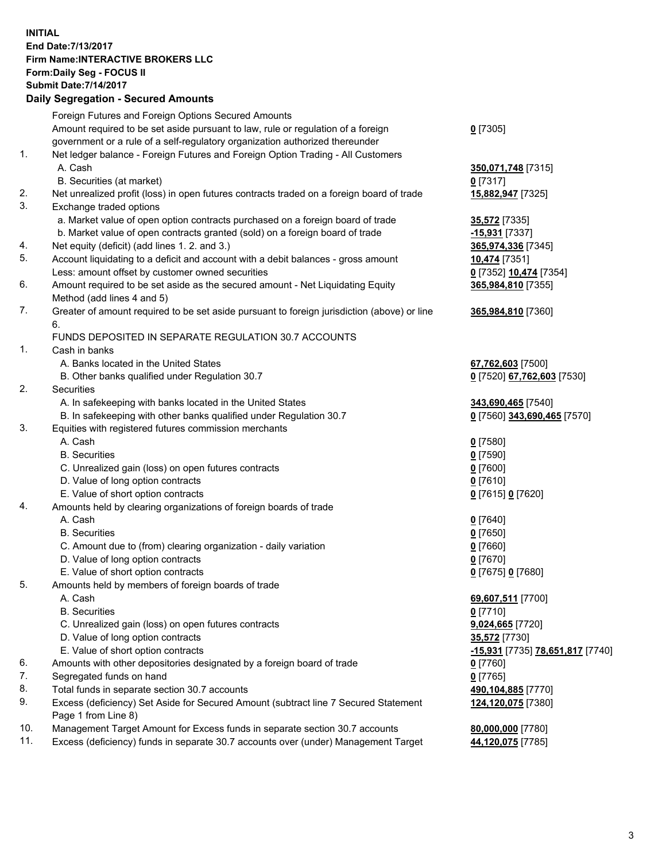## **INITIAL End Date:7/13/2017 Firm Name:INTERACTIVE BROKERS LLC Form:Daily Seg - FOCUS II**

|          | <b>Submit Date: 7/14/2017</b>                                                                              |                                  |
|----------|------------------------------------------------------------------------------------------------------------|----------------------------------|
|          | <b>Daily Segregation - Secured Amounts</b>                                                                 |                                  |
|          | Foreign Futures and Foreign Options Secured Amounts                                                        |                                  |
|          | Amount required to be set aside pursuant to law, rule or regulation of a foreign                           | $0$ [7305]                       |
|          | government or a rule of a self-regulatory organization authorized thereunder                               |                                  |
| 1.       | Net ledger balance - Foreign Futures and Foreign Option Trading - All Customers                            |                                  |
|          | A. Cash                                                                                                    | 350,071,748 [7315]               |
|          | B. Securities (at market)                                                                                  | $0$ [7317]                       |
| 2.       | Net unrealized profit (loss) in open futures contracts traded on a foreign board of trade                  | 15,882,947 [7325]                |
| 3.       | Exchange traded options                                                                                    |                                  |
|          | a. Market value of open option contracts purchased on a foreign board of trade                             | 35,572 [7335]                    |
|          | b. Market value of open contracts granted (sold) on a foreign board of trade                               | -15,931 [7337]                   |
| 4.       | Net equity (deficit) (add lines 1. 2. and 3.)                                                              | 365,974,336 [7345]               |
| 5.       | Account liquidating to a deficit and account with a debit balances - gross amount                          | 10,474 [7351]                    |
|          | Less: amount offset by customer owned securities                                                           | 0 [7352] 10,474 [7354]           |
| 6.       | Amount required to be set aside as the secured amount - Net Liquidating Equity                             | 365,984,810 [7355]               |
|          | Method (add lines 4 and 5)                                                                                 |                                  |
| 7.       | Greater of amount required to be set aside pursuant to foreign jurisdiction (above) or line                | 365,984,810 [7360]               |
|          | 6.                                                                                                         |                                  |
|          | FUNDS DEPOSITED IN SEPARATE REGULATION 30.7 ACCOUNTS                                                       |                                  |
| 1.       | Cash in banks                                                                                              |                                  |
|          | A. Banks located in the United States                                                                      | 67,762,603 [7500]                |
|          | B. Other banks qualified under Regulation 30.7                                                             | 0 [7520] 67,762,603 [7530]       |
| 2.       | <b>Securities</b>                                                                                          |                                  |
|          | A. In safekeeping with banks located in the United States                                                  | 343,690,465 [7540]               |
|          | B. In safekeeping with other banks qualified under Regulation 30.7                                         | 0 [7560] 343,690,465 [7570]      |
| 3.       | Equities with registered futures commission merchants                                                      |                                  |
|          | A. Cash                                                                                                    | $0$ [7580]                       |
|          | <b>B.</b> Securities                                                                                       | $0$ [7590]                       |
|          | C. Unrealized gain (loss) on open futures contracts                                                        | $0$ [7600]                       |
|          | D. Value of long option contracts                                                                          | $0$ [7610]                       |
|          | E. Value of short option contracts                                                                         | 0 [7615] 0 [7620]                |
| 4.       | Amounts held by clearing organizations of foreign boards of trade                                          |                                  |
|          | A. Cash                                                                                                    | $0$ [7640]                       |
|          | <b>B.</b> Securities                                                                                       | $0$ [7650]                       |
|          | C. Amount due to (from) clearing organization - daily variation                                            | $0$ [7660]                       |
|          | D. Value of long option contracts                                                                          | $0$ [7670]                       |
|          | E. Value of short option contracts                                                                         | 0 [7675] 0 [7680]                |
| 5.       | Amounts held by members of foreign boards of trade                                                         |                                  |
|          | A. Cash                                                                                                    | 69,607,511 [7700]                |
|          | <b>B.</b> Securities                                                                                       | $0$ [7710]                       |
|          | C. Unrealized gain (loss) on open futures contracts                                                        | 9,024,665 [7720]                 |
|          | D. Value of long option contracts                                                                          | 35,572 [7730]                    |
|          | E. Value of short option contracts                                                                         | -15,931 [7735] 78,651,817 [7740] |
| 6.<br>7. | Amounts with other depositories designated by a foreign board of trade<br>Segregated funds on hand         | $0$ [7760]                       |
| 8.       | Total funds in separate section 30.7 accounts                                                              | $0$ [7765]                       |
| 9.       |                                                                                                            | 490,104,885 [7770]               |
|          | Excess (deficiency) Set Aside for Secured Amount (subtract line 7 Secured Statement<br>Page 1 from Line 8) | 124,120,075 [7380]               |
| 10.      | Management Target Amount for Excess funds in separate section 30.7 accounts                                | 80,000,000 [7780]                |
| 11.      | Excess (deficiency) funds in separate 30.7 accounts over (under) Management Target                         | 44,120,075 [7785]                |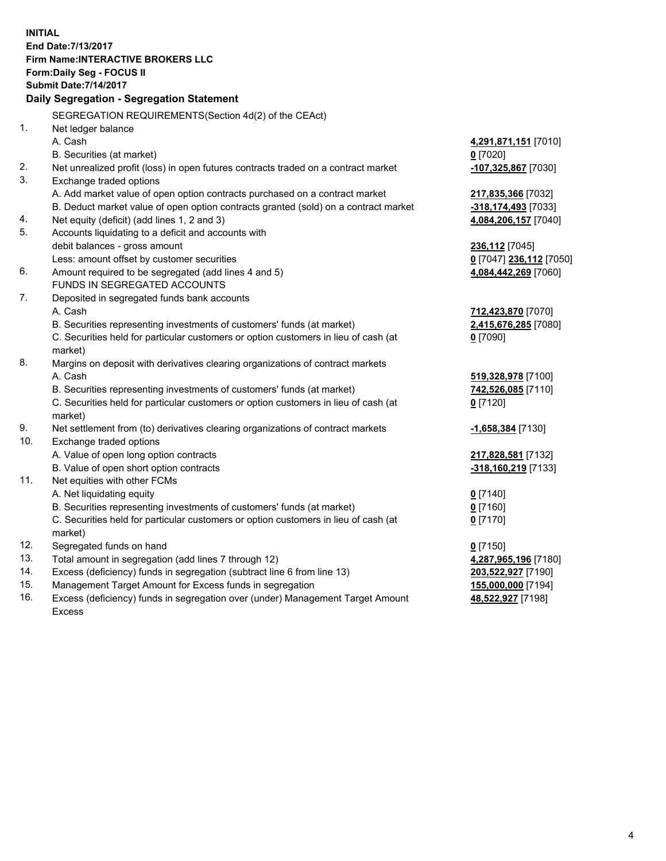**INITIAL End Date:7/13/2017 Firm Name:INTERACTIVE BROKERS LLC Form:Daily Seg - FOCUS II Submit Date:7/14/2017 Daily Segregation - Segregation Statement** SEGREGATION REQUIREMENTS(Section 4d(2) of the CEAct) 1. Net ledger balance A. Cash **4,291,871,151** [7010] B. Securities (at market) **0** [7020] 2. Net unrealized profit (loss) in open futures contracts traded on a contract market **-107,325,867** [7030] 3. Exchange traded options A. Add market value of open option contracts purchased on a contract market **217,835,366** [7032] B. Deduct market value of open option contracts granted (sold) on a contract market **-318,174,493** [7033] 4. Net equity (deficit) (add lines 1, 2 and 3) **4,084,206,157** [7040] 5. Accounts liquidating to a deficit and accounts with debit balances - gross amount **236,112** [7045] Less: amount offset by customer securities **0** [7047] **236,112** [7050] 6. Amount required to be segregated (add lines 4 and 5) **4,084,442,269** [7060] FUNDS IN SEGREGATED ACCOUNTS 7. Deposited in segregated funds bank accounts A. Cash **712,423,870** [7070] B. Securities representing investments of customers' funds (at market) **2,415,676,285** [7080] C. Securities held for particular customers or option customers in lieu of cash (at market) **0** [7090] 8. Margins on deposit with derivatives clearing organizations of contract markets A. Cash **519,328,978** [7100] B. Securities representing investments of customers' funds (at market) **742,526,085** [7110] C. Securities held for particular customers or option customers in lieu of cash (at market) **0** [7120] 9. Net settlement from (to) derivatives clearing organizations of contract markets **-1,658,384** [7130] 10. Exchange traded options A. Value of open long option contracts **217,828,581** [7132] B. Value of open short option contracts **-318,160,219** [7133] 11. Net equities with other FCMs A. Net liquidating equity **0** [7140] B. Securities representing investments of customers' funds (at market) **0** [7160] C. Securities held for particular customers or option customers in lieu of cash (at market) **0** [7170] 12. Segregated funds on hand **0** [7150] 13. Total amount in segregation (add lines 7 through 12) **4,287,965,196** [7180] 14. Excess (deficiency) funds in segregation (subtract line 6 from line 13) **203,522,927** [7190]

- 15. Management Target Amount for Excess funds in segregation **155,000,000** [7194]
- 16. Excess (deficiency) funds in segregation over (under) Management Target Amount Excess

**48,522,927** [7198]